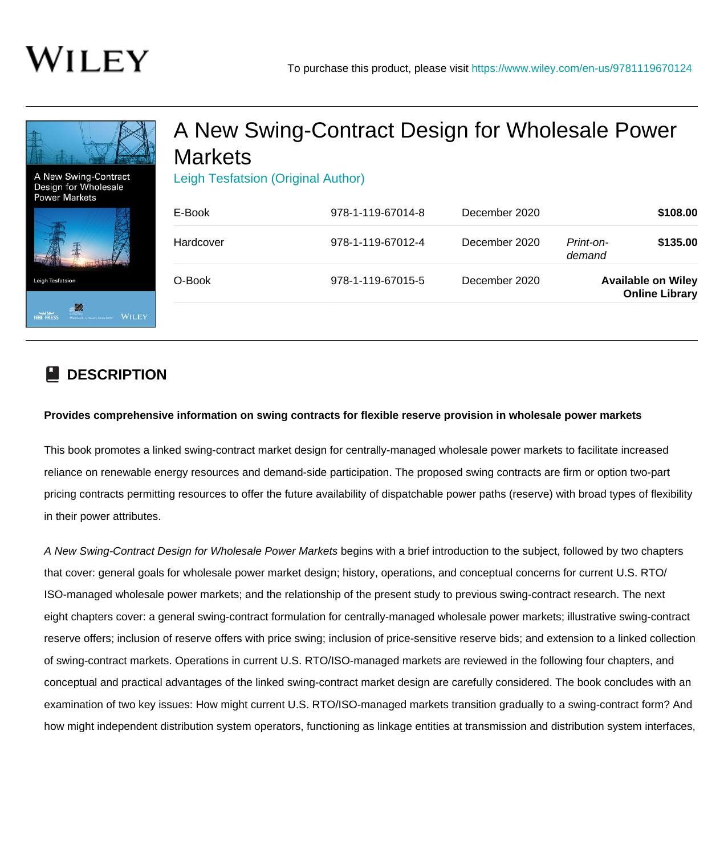

## **DESCRIPTION**

## **Provides comprehensive information on swing contracts for flexible reserve provision in wholesale power markets**

This book promotes a linked swing-contract market design for centrally-managed wholesale power markets to facilitate increased reliance on renewable energy resources and demand-side participation. The proposed swing contracts are firm or option two-part pricing contracts permitting resources to offer the future availability of dispatchable power paths (reserve) with broad types of flexibility in their power attributes.

A New Swing-Contract Design for Wholesale Power Markets begins with a brief introduction to the subject, followed by two chapters that cover: general goals for wholesale power market design; history, operations, and conceptual concerns for current U.S. RTO/ ISO-managed wholesale power markets; and the relationship of the present study to previous swing-contract research. The next eight chapters cover: a general swing-contract formulation for centrally-managed wholesale power markets; illustrative swing-contract reserve offers; inclusion of reserve offers with price swing; inclusion of price-sensitive reserve bids; and extension to a linked collection of swing-contract markets. Operations in current U.S. RTO/ISO-managed markets are reviewed in the following four chapters, and conceptual and practical advantages of the linked swing-contract market design are carefully considered. The book concludes with an examination of two key issues: How might current U.S. RTO/ISO-managed markets transition gradually to a swing-contract form? And how might independent distribution system operators, functioning as linkage entities at transmission and distribution system interfaces,